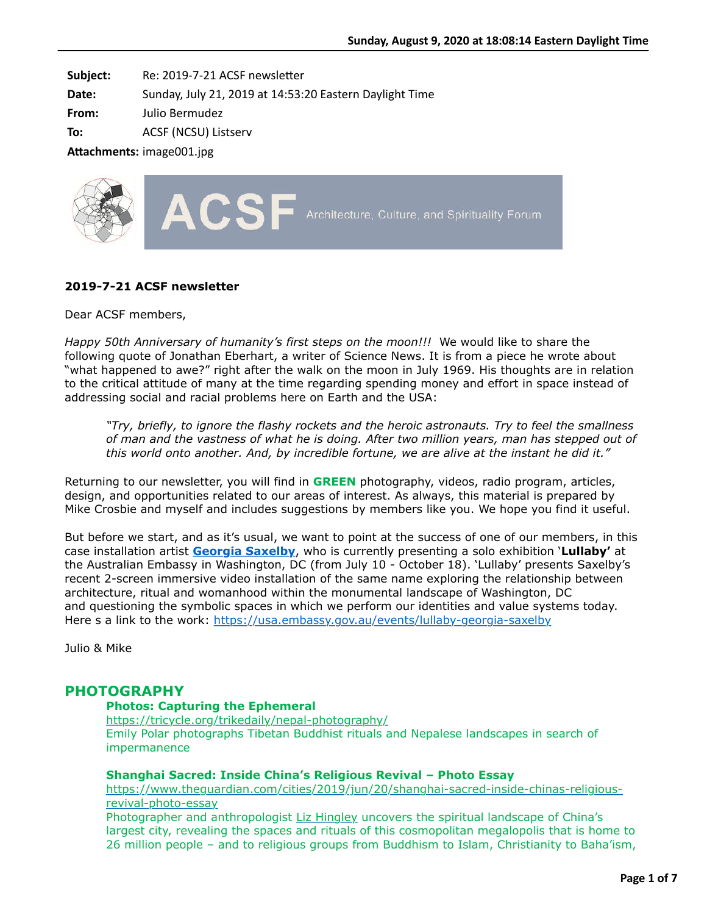**Subject:** Re: 2019-7-21 ACSF newsletter

**Date:** Sunday, July 21, 2019 at 14:53:20 Eastern Daylight Time

**From:** Julio Bermudez

**To:** ACSF (NCSU) Listserv

Attachments: image001.jpg



### **2019-7-21 ACSF newsletter**

Dear ACSF members,

*Happy 50th Anniversary of humanity's first steps on the moon!!!* We would like to share the following quote of Jonathan Eberhart, a writer of Science News. It is from a piece he wrote about "what happened to awe?" right after the walk on the moon in July 1969. His thoughts are in relation to the critical attitude of many at the time regarding spending money and effort in space instead of addressing social and racial problems here on Earth and the USA:

*"Try, briefly, to ignore the flashy rockets and the heroic astronauts. Try to feel the smallness of man and the vastness of what he is doing. After two million years, man has stepped out of this world onto another. And, by incredible fortune, we are alive at the instant he did it."*

Returning to our newsletter, you will find in **GREEN** photography, videos, radio program, articles, design, and opportunities related to our areas of interest. As always, this material is prepared by Mike Crosbie and myself and includes suggestions by members like you. We hope you find it useful.

But before we start, and as it's usual, we want to point at the success of one of our members, in this case installation artist **[Georgia Saxelby](http://www.georgiasaxelby.com/)**, who is currently presenting a solo exhibition '**Lullaby'** at the Australian Embassy in Washington, DC (from July 10 - October 18). 'Lullaby' presents Saxelby's recent 2-screen immersive video installation of the same name exploring the relationship between architecture, ritual and womanhood within the monumental landscape of Washington, DC and questioning the symbolic spaces in which we perform our identities and value systems today. Here s a link to the work:<https://usa.embassy.gov.au/events/lullaby-georgia-saxelby>

Julio & Mike

# **PHOTOGRAPHY**

#### **Photos: Capturing the Ephemeral**

<https://tricycle.org/trikedaily/nepal-photography/> Emily Polar photographs Tibetan Buddhist rituals and Nepalese landscapes in search of impermanence

### **Shanghai Sacred: Inside China's Religious Revival – Photo Essay**

[https://www.theguardian.com/cities/2019/jun/20/shanghai-sacred-inside-chinas-religious](https://www.theguardian.com/cities/2019/jun/20/shanghai-sacred-inside-chinas-religious-revival-photo-essay)revival-photo-essay

Photographer and anthropologist [Liz Hingley](http://lizhingley.com/) uncovers the spiritual landscape of China's largest city, revealing the spaces and rituals of this cosmopolitan megalopolis that is home to 26 million people – and to religious groups from Buddhism to Islam, Christianity to Baha'ism,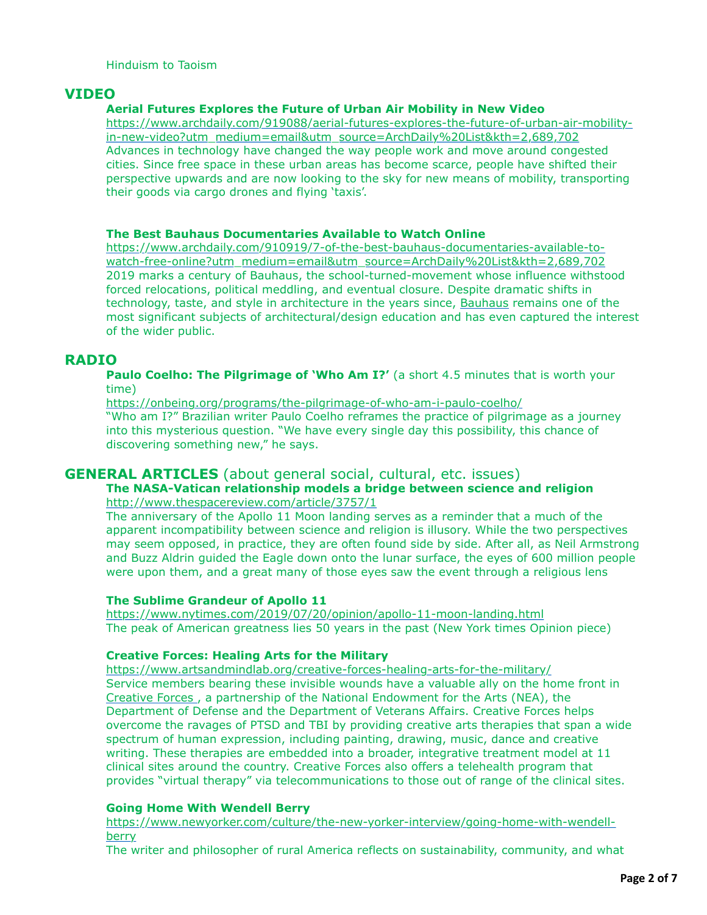# **VIDEO**

### **Aerial Futures Explores the Future of Urban Air Mobility in New Video**

[https://www.archdaily.com/919088/aerial-futures-explores-the-future-of-urban-air-mobility](https://www.archdaily.com/919088/aerial-futures-explores-the-future-of-urban-air-mobility-in-new-video?utm_medium=email&utm_source=ArchDaily%20List&kth=2,689,702)in-new-video?utm\_medium=email&utm\_source=ArchDaily%20List&kth=2,689,702 Advances in technology have changed the way people work and move around congested cities. Since free space in these urban areas has become scarce, people have shifted their perspective upwards and are now looking to the sky for new means of mobility, transporting their goods via cargo drones and flying 'taxis'.

#### **The Best Bauhaus Documentaries Available to Watch Online**

[https://www.archdaily.com/910919/7-of-the-best-bauhaus-documentaries-available-to](https://www.archdaily.com/910919/7-of-the-best-bauhaus-documentaries-available-to-watch-free-online?utm_medium=email&utm_source=ArchDaily%20List&kth=2,689,702)watch-free-online?utm\_medium=email&utm\_source=ArchDaily%20List&kth=2,689,702 2019 marks a century of Bauhaus, the school-turned-movement whose influence withstood forced relocations, political meddling, and eventual closure. Despite dramatic shifts in technology, taste, and style in architecture in the years since, [Bauhaus](https://www.archdaily.com/tag/bauhaus) remains one of the most significant subjects of architectural/design education and has even captured the interest of the wider public.

# **RADIO**

**Paulo Coelho: The Pilgrimage of 'Who Am I?'** (a short 4.5 minutes that is worth your time)

<https://onbeing.org/programs/the-pilgrimage-of-who-am-i-paulo-coelho/>

"Who am I?" Brazilian writer Paulo Coelho reframes the practice of pilgrimage as a journey into this mysterious question. "We have every single day this possibility, this chance of discovering something new," he says.

# **GENERAL ARTICLES** (about general social, cultural, etc. issues)

### **The NASA-Vatican relationship models a bridge between science and religion** <http://www.thespacereview.com/article/3757/1>

The anniversary of the Apollo 11 Moon landing serves as a reminder that a much of the apparent incompatibility between science and religion is illusory. While the two perspectives may seem opposed, in practice, they are often found side by side. After all, as Neil Armstrong and Buzz Aldrin guided the Eagle down onto the lunar surface, the eyes of 600 million people were upon them, and a great many of those eyes saw the event through a religious lens

### **The Sublime Grandeur of Apollo 11**

<https://www.nytimes.com/2019/07/20/opinion/apollo-11-moon-landing.html> The peak of American greatness lies 50 years in the past (New York times Opinion piece)

### **Creative Forces: Healing Arts for the Military**

<https://www.artsandmindlab.org/creative-forces-healing-arts-for-the-military/> Service members bearing these invisible wounds have a valuable ally on the home front in [Creative Forces ,](https://www.arts.gov/national-initiatives/creative-forces) a partnership of the National Endowment for the Arts (NEA), the Department of Defense and the Department of Veterans Affairs. Creative Forces helps overcome the ravages of PTSD and TBI by providing creative arts therapies that span a wide spectrum of human expression, including painting, drawing, music, dance and creative writing. These therapies are embedded into a broader, integrative treatment model at 11 clinical sites around the country. Creative Forces also offers a telehealth program that provides "virtual therapy" via telecommunications to those out of range of the clinical sites.

### **Going Home With Wendell Berry**

[https://www.newyorker.com/culture/the-new-yorker-interview/going-home-with-wendell](https://www.newyorker.com/culture/the-new-yorker-interview/going-home-with-wendell-berry)berry

The writer and philosopher of rural America reflects on sustainability, community, and what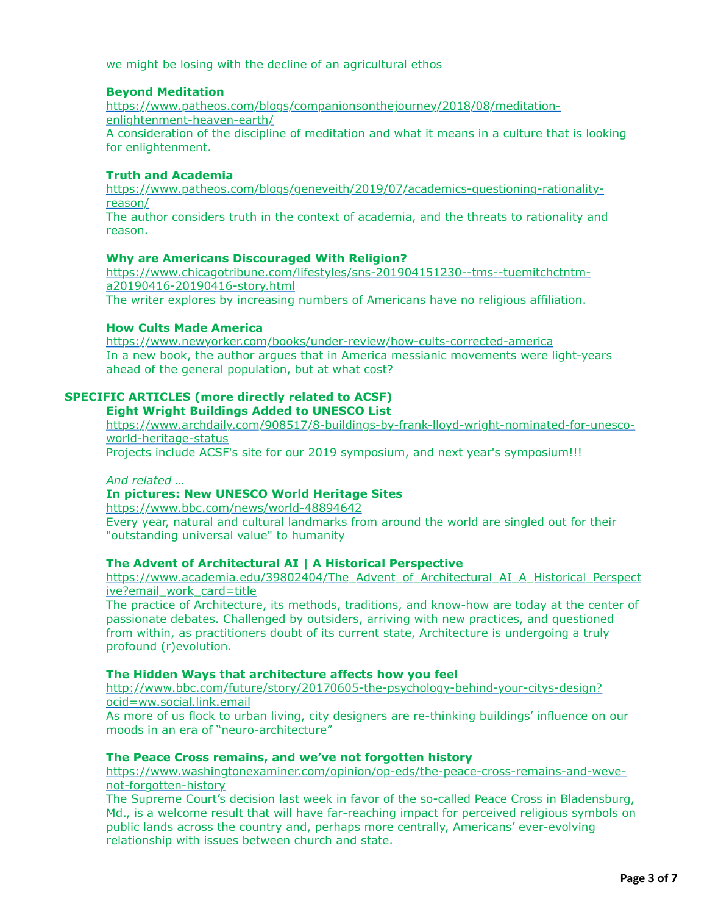we might be losing with the decline of an agricultural ethos

### **Beyond Meditation**

[https://www.patheos.com/blogs/companionsonthejourney/2018/08/meditation](https://www.patheos.com/blogs/companionsonthejourney/2018/08/meditation-enlightenment-heaven-earth/)enlightenment-heaven-earth/

A consideration of the discipline of meditation and what it means in a culture that is looking for enlightenment.

#### **Truth and Academia**

[https://www.patheos.com/blogs/geneveith/2019/07/academics-questioning-rationality](https://www.patheos.com/blogs/geneveith/2019/07/academics-questioning-rationality-reason/)reason/

The author considers truth in the context of academia, and the threats to rationality and reason.

#### **Why are Americans Discouraged With Religion?**

[https://www.chicagotribune.com/lifestyles/sns-201904151230--tms--tuemitchctntm](https://www.chicagotribune.com/lifestyles/sns-201904151230--tms--tuemitchctntm-a20190416-20190416-story.html)a20190416-20190416-story.html

The writer explores by increasing numbers of Americans have no religious affiliation.

### **How Cults Made America**

<https://www.newyorker.com/books/under-review/how-cults-corrected-america> In a new book, the author argues that in America messianic movements were light-years ahead of the general population, but at what cost?

# **SPECIFIC ARTICLES (more directly related to ACSF)**

**Eight Wright Buildings Added to UNESCO List**

[https://www.archdaily.com/908517/8-buildings-by-frank-lloyd-wright-nominated-for-unesco](https://www.archdaily.com/908517/8-buildings-by-frank-lloyd-wright-nominated-for-unesco-world-heritage-status)world-heritage-status

Projects include ACSF's site for our 2019 symposium, and next year's symposium!!!

#### *And related …*

# **In pictures: New UNESCO World Heritage Sites**

<https://www.bbc.com/news/world-48894642> Every year, natural and cultural landmarks from around the world are singled out for their "outstanding universal value" to humanity

#### **The Advent of Architectural AI | A Historical Perspective**

[https://www.academia.edu/39802404/The\\_Advent\\_of\\_Architectural\\_AI\\_A\\_Historical\\_Perspect](https://www.academia.edu/39802404/The_Advent_of_Architectural_AI_A_Historical_Perspective?email_work_card=title) ive?email\_work\_card=title

The practice of Architecture, its methods, traditions, and know-how are today at the center of passionate debates. Challenged by outsiders, arriving with new practices, and questioned from within, as practitioners doubt of its current state, Architecture is undergoing a truly profound (r)evolution.

#### **The Hidden Ways that architecture affects how you feel**

[http://www.bbc.com/future/story/20170605-the-psychology-behind-your-citys-design?](http://www.bbc.com/future/story/20170605-the-psychology-behind-your-citys-design?ocid=ww.social.link.email) ocid=ww.social.link.email

As more of us flock to urban living, city designers are re-thinking buildings' influence on our moods in an era of "neuro-architecture"

### **The Peace Cross remains, and we've not forgotten history**

[https://www.washingtonexaminer.com/opinion/op-eds/the-peace-cross-remains-and-weve](https://www.washingtonexaminer.com/opinion/op-eds/the-peace-cross-remains-and-weve-not-forgotten-history)not-forgotten-history

The Supreme Court's decision last week in favor of the so-called Peace Cross in Bladensburg, Md., is a welcome result that will have far-reaching impact for perceived religious symbols on public lands across the country and, perhaps more centrally, Americans' ever-evolving relationship with issues between church and state.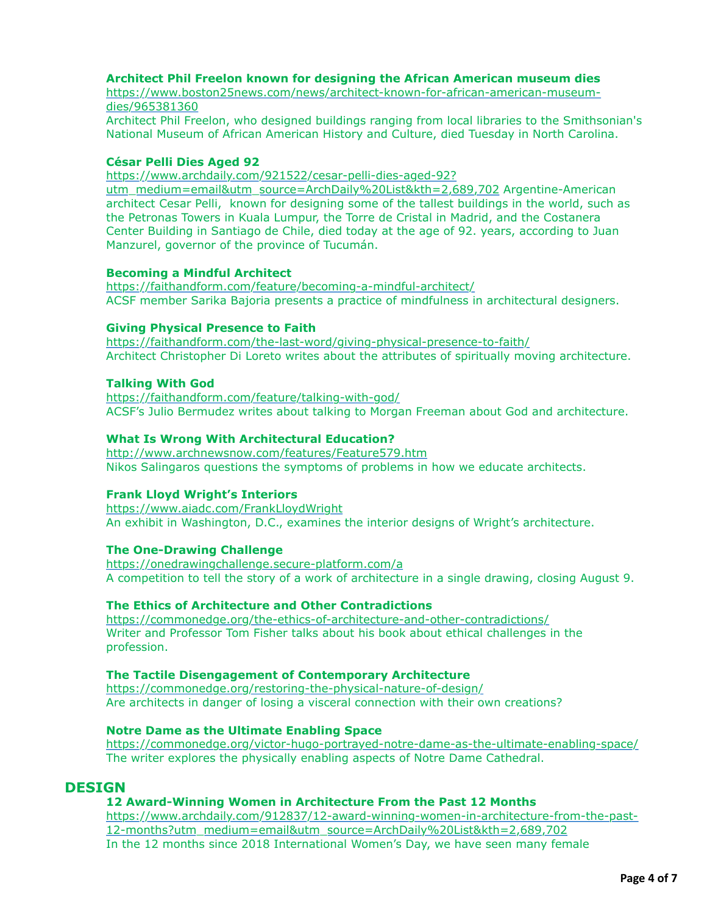### **Architect Phil Freelon known for designing the African American museum dies**

[https://www.boston25news.com/news/architect-known-for-african-american-museum](https://www.boston25news.com/news/architect-known-for-african-american-museum-dies/965381360)dies/965381360

Architect Phil Freelon, who designed buildings ranging from local libraries to the Smithsonian's National Museum of African American History and Culture, died Tuesday in North Carolina.

### **César Pelli Dies Aged 92**

https://www.archdaily.com/921522/cesar-pelli-dies-aged-92?

[utm\\_medium=email&utm\\_source=ArchDaily%20List&kth=2,689,702](https://www.archdaily.com/921522/cesar-pelli-dies-aged-92?utm_medium=email&utm_source=ArchDaily%20List&kth=2,689,702) Argentine-American architect Cesar Pelli, known for designing some of the tallest buildings in the world, such as the Petronas Towers in Kuala Lumpur, the Torre de Cristal in Madrid, and the Costanera Center Building in Santiago de Chile, died today at the age of 92. years, according to Juan Manzurel, governor of the province of Tucumán.

### **Becoming a Mindful Architect**

<https://faithandform.com/feature/becoming-a-mindful-architect/> ACSF member Sarika Bajoria presents a practice of mindfulness in architectural designers.

#### **Giving Physical Presence to Faith**

<https://faithandform.com/the-last-word/giving-physical-presence-to-faith/> Architect Christopher Di Loreto writes about the attributes of spiritually moving architecture.

#### **Talking With God**

<https://faithandform.com/feature/talking-with-god/> ACSF's Julio Bermudez writes about talking to Morgan Freeman about God and architecture.

#### **What Is Wrong With Architectural Education?**

<http://www.archnewsnow.com/features/Feature579.htm> Nikos Salingaros questions the symptoms of problems in how we educate architects.

#### **Frank Lloyd Wright's Interiors**

<https://www.aiadc.com/FrankLloydWright> An exhibit in Washington, D.C., examines the interior designs of Wright's architecture.

#### **The One-Drawing Challenge**

<https://onedrawingchallenge.secure-platform.com/a> A competition to tell the story of a work of architecture in a single drawing, closing August 9.

### **The Ethics of Architecture and Other Contradictions**

<https://commonedge.org/the-ethics-of-architecture-and-other-contradictions/> Writer and Professor Tom Fisher talks about his book about ethical challenges in the profession.

#### **The Tactile Disengagement of Contemporary Architecture**

<https://commonedge.org/restoring-the-physical-nature-of-design/> Are architects in danger of losing a visceral connection with their own creations?

### **Notre Dame as the Ultimate Enabling Space**

<https://commonedge.org/victor-hugo-portrayed-notre-dame-as-the-ultimate-enabling-space/> The writer explores the physically enabling aspects of Notre Dame Cathedral.

### **DESIGN**

#### **12 Award-Winning Women in Architecture From the Past 12 Months**

[https://www.archdaily.com/912837/12-award-winning-women-in-architecture-from-the-past-](https://www.archdaily.com/912837/12-award-winning-women-in-architecture-from-the-past-12-months?utm_medium=email&utm_source=ArchDaily%20List&kth=2,689,702)12-months?utm\_medium=email&utm\_source=ArchDaily%20List&kth=2,689,702 In the 12 months since 2018 International Women's Day, we have seen many female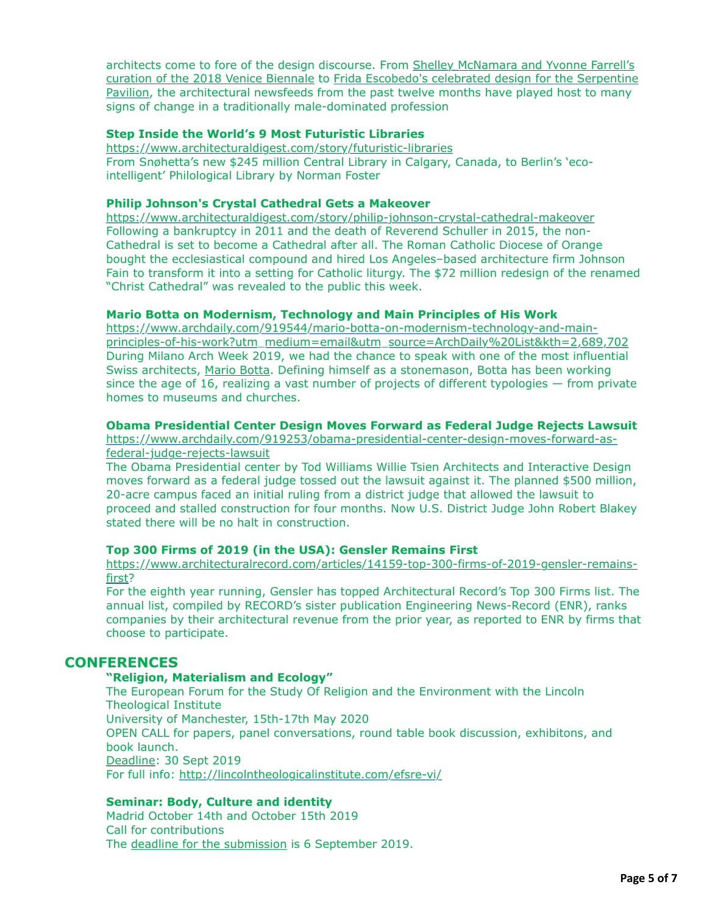architects come to fore of the design discourse. From Shelley McNamara and Yvonne Farrell's [curation of the 2018 Venice Biennale to Frida Escobedo's celebrated design for the Serpentin](https://www.archdaily.com/803570/yvonne-farrell-and-shelley-mcnamara-named-artistic-directors-of-2018-venice-architecture-biennale)[e](https://www.archdaily.com/896135/frida-escobedos-2018-serpentine-pavilion-opens-in-london) Pavilion, the architectural newsfeeds from the past twelve months have played host to many signs of change in a traditionally male-dominated profession

### **Step Inside the World's 9 Most Futuristic Libraries**

<https://www.architecturaldigest.com/story/futuristic-libraries> From Snøhetta's new \$245 million Central Library in Calgary, Canada, to Berlin's 'ecointelligent' Philological Library by Norman Foster

### **Philip Johnson's Crystal Cathedral Gets a Makeover**

<https://www.architecturaldigest.com/story/philip-johnson-crystal-cathedral-makeover> Following a bankruptcy in 2011 and the death of Reverend Schuller in 2015, the non-Cathedral is set to become a Cathedral after all. The Roman Catholic Diocese of Orange bought the ecclesiastical compound and hired Los Angeles–based architecture firm Johnson Fain to transform it into a setting for Catholic liturgy. The \$72 million redesign of the renamed "Christ Cathedral" was revealed to the public this week.

#### **Mario Botta on Modernism, Technology and Main Principles of His Work**

https://www.archdaily.com/919544/mario-botta-on-modernism-technology-and-main[principles-of-his-work?utm\\_medium=email&utm\\_source=ArchDaily%20List&kth=2,689,702](https://www.archdaily.com/919544/mario-botta-on-modernism-technology-and-main-principles-of-his-work?utm_medium=email&utm_source=ArchDaily%20List&kth=2,689,702) During Milano Arch Week 2019, we had the chance to speak with one of the most influential Swiss architects, [Mario Botta.](https://www.archdaily.com/tag/mario-botta) Defining himself as a stonemason, Botta has been working since the age of 16, realizing a vast number of projects of different typologies — from private homes to museums and churches.

#### **Obama Presidential Center Design Moves Forward as Federal Judge Rejects Lawsuit**

[https://www.archdaily.com/919253/obama-presidential-center-design-moves-forward-as](https://www.archdaily.com/919253/obama-presidential-center-design-moves-forward-as-federal-judge-rejects-lawsuit)federal-judge-rejects-lawsuit

The Obama Presidential center by Tod Williams Willie Tsien Architects and Interactive Design moves forward as a federal judge tossed out the lawsuit against it. The planned \$500 million, 20-acre campus faced an initial ruling from a district judge that allowed the lawsuit to proceed and stalled construction for four months. Now U.S. District Judge John Robert Blakey stated there will be no halt in construction.

### **Top 300 Firms of 2019 (in the USA): Gensler Remains First**

[https://www.architecturalrecord.com/articles/14159-top-300-firms-of-2019-gensler-remains](https://www.architecturalrecord.com/articles/14159-top-300-firms-of-2019-gensler-remains-first)first?

For the eighth year running, Gensler has topped Architectural Record's Top 300 Firms list. The annual list, compiled by RECORD's sister publication Engineering News-Record (ENR), ranks companies by their architectural revenue from the prior year, as reported to ENR by firms that choose to participate.

# **CONFERENCES**

### **"Religion, Materialism and Ecology"**

The European Forum for the Study Of Religion and the Environment with the Lincoln Theological Institute University of Manchester, 15th-17th May 2020 OPEN CALL for papers, panel conversations, round table book discussion, exhibitons, and book launch. Deadline: 30 Sept 2019 For full info:<http://lincolntheologicalinstitute.com/efsre-vi/>

#### **Seminar: Body, Culture and identity**

Madrid October 14th and October 15th 2019 Call for contributions The deadline for the submission is 6 September 2019.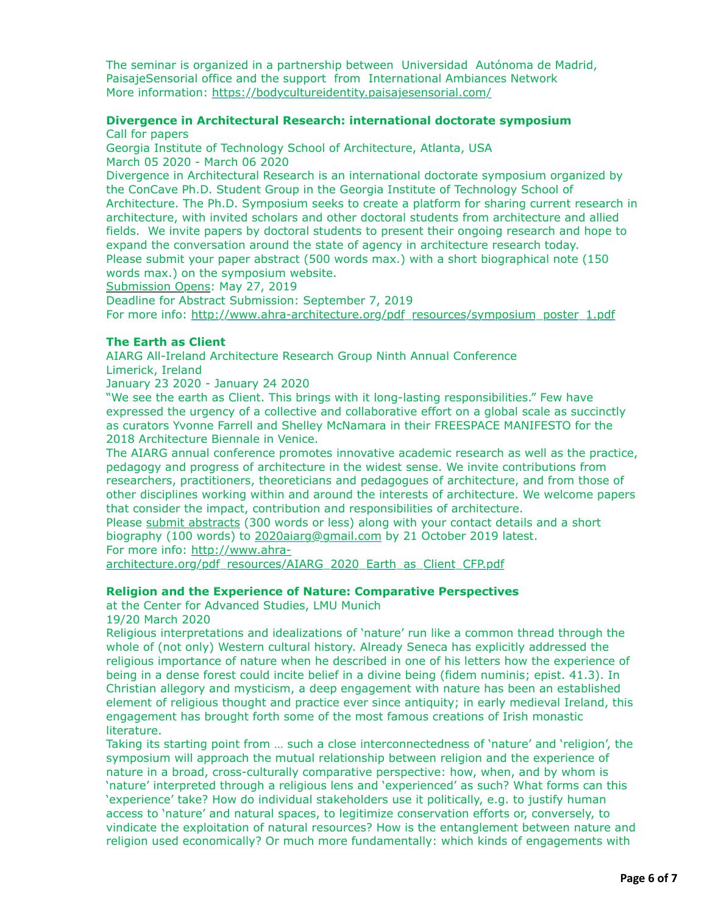The seminar is organized in a partnership between Universidad Autónoma de Madrid, PaisajeSensorial office and the support from International Ambiances Network More information: <https://bodycultureidentity.paisajesensorial.com/>

#### **Divergence in Architectural Research: international doctorate symposium**  Call for papers

Georgia Institute of Technology School of Architecture, Atlanta, USA March 05 2020 - March 06 2020

Divergence in Architectural Research is an international doctorate symposium organized by the ConCave Ph.D. Student Group in the Georgia Institute of Technology School of Architecture. The Ph.D. Symposium seeks to create a platform for sharing current research in architecture, with invited scholars and other doctoral students from architecture and allied fields. We invite papers by doctoral students to present their ongoing research and hope to expand the conversation around the state of agency in architecture research today. Please submit your paper abstract (500 words max.) with a short biographical note (150 words max.) on the symposium website.

Submission Opens: May 27, 2019

Deadline for Abstract Submission: September 7, 2019 For more info: [http://www.ahra-architecture.org/pdf\\_resources/symposium\\_poster\\_1.pdf](http://www.ahra-architecture.org/pdf_resources/symposium_poster_1.pdf)

### **The Earth as Client**

AIARG All-Ireland Architecture Research Group Ninth Annual Conference Limerick, Ireland

January 23 2020 - January 24 2020

"We see the earth as Client. This brings with it long-lasting responsibilities." Few have expressed the urgency of a collective and collaborative effort on a global scale as succinctly as curators Yvonne Farrell and Shelley McNamara in their FREESPACE MANIFESTO for the 2018 Architecture Biennale in Venice.

The AIARG annual conference promotes innovative academic research as well as the practice, pedagogy and progress of architecture in the widest sense. We invite contributions from researchers, practitioners, theoreticians and pedagogues of architecture, and from those of other disciplines working within and around the interests of architecture. We welcome papers that consider the impact, contribution and responsibilities of architecture.

Please submit abstracts (300 words or less) along with your contact details and a short biography (100 words) to [2020aiarg@gmail.com](mailto:2020aiarg@gmail.com) by 21 October 2019 latest. For more info: http://www.ahra-

[architecture.org/pdf\\_resources/AIARG\\_2020\\_Earth\\_as\\_Client\\_CFP.pdf](http://www.ahra-architecture.org/pdf_resources/AIARG_2020_Earth_as_Client_CFP.pdf)

### **Religion and the Experience of Nature: Comparative Perspectives**

at the Center for Advanced Studies, LMU Munich

19/20 March 2020

Religious interpretations and idealizations of 'nature' run like a common thread through the whole of (not only) Western cultural history. Already Seneca has explicitly addressed the religious importance of nature when he described in one of his letters how the experience of being in a dense forest could incite belief in a divine being (fidem numinis; epist. 41.3). In Christian allegory and mysticism, a deep engagement with nature has been an established element of religious thought and practice ever since antiquity; in early medieval Ireland, this engagement has brought forth some of the most famous creations of Irish monastic literature.

Taking its starting point from … such a close interconnectedness of 'nature' and 'religion', the symposium will approach the mutual relationship between religion and the experience of nature in a broad, cross-culturally comparative perspective: how, when, and by whom is 'nature' interpreted through a religious lens and 'experienced' as such? What forms can this 'experience' take? How do individual stakeholders use it politically, e.g. to justify human access to 'nature' and natural spaces, to legitimize conservation efforts or, conversely, to vindicate the exploitation of natural resources? How is the entanglement between nature and religion used economically? Or much more fundamentally: which kinds of engagements with